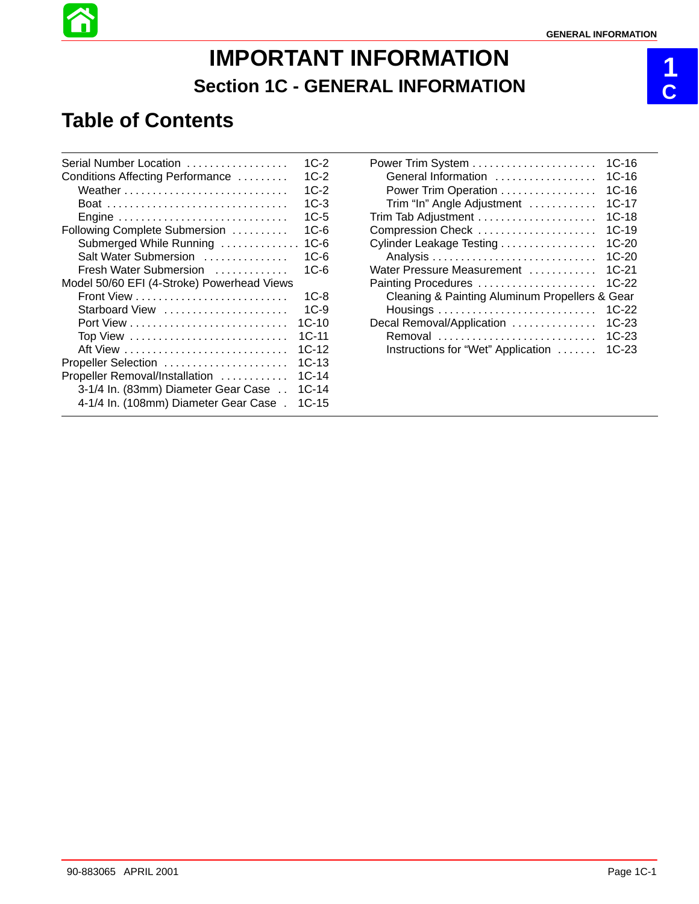# **IMPORTANT INFORMATION Section 1C - GENERAL INFORMATION**

# **Table of Contents**

| Serial Number Location                     | $1C-2$  |
|--------------------------------------------|---------|
| Conditions Affecting Performance           | $1C-2$  |
|                                            | $1C-2$  |
|                                            | $1C-3$  |
| Engine                                     | $1C-5$  |
| Following Complete Submersion              | $1C-6$  |
| Submerged While Running                    | $1C-6$  |
| Salt Water Submersion                      | $1C-6$  |
| Fresh Water Submersion                     | 1C-6    |
| Model 50/60 EFI (4-Stroke) Powerhead Views |         |
|                                            | $1C-8$  |
| Starboard View                             | $1C-9$  |
|                                            | $1C-10$ |
| Top View                                   | $1C-11$ |
|                                            | $1C-12$ |
| Propeller Selection                        | $1C-13$ |
| Propeller Removal/Installation             | $1C-14$ |
| 3-1/4 In. (83mm) Diameter Gear Case        | $1C-14$ |
| 4-1/4 In. (108mm) Diameter Gear Case.      | $1C-15$ |
|                                            |         |

| General Information                                | 1C-16<br>$1C-16$<br>$1C-16$ |
|----------------------------------------------------|-----------------------------|
| Power Trim Operation<br>Trim "In" Angle Adjustment | 1C-17                       |
|                                                    | $1C-18$                     |
| Compression Check                                  | $1C-19$                     |
| Cylinder Leakage Testing                           | $1C-20$                     |
|                                                    | 1C-20                       |
| Water Pressure Measurement                         | $1C-21$                     |
| Painting Procedures                                | $1C-22$                     |
| Cleaning & Painting Aluminum Propellers & Gear     |                             |
|                                                    | $1C-22$                     |
| Decal Removal/Application                          | $1C-23$                     |
| Removal                                            | 1C-23                       |
| Instructions for "Wet" Application                 | 1C-23                       |

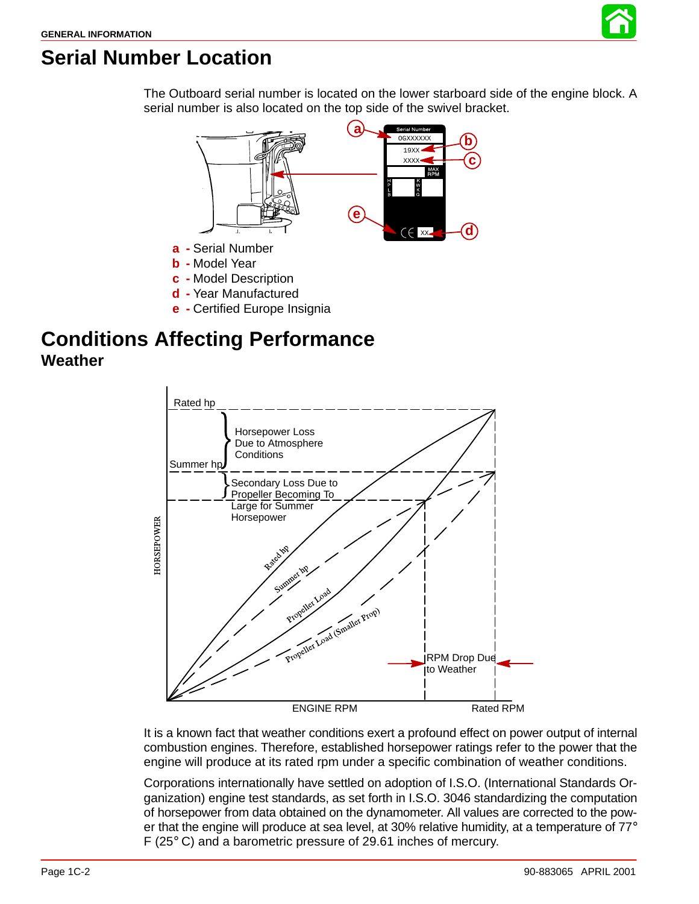

# **Serial Number Location**

The Outboard serial number is located on the lower starboard side of the engine block. A serial number is also located on the top side of the swivel bracket.



- **b -** Model Year
- **c -** Model Description
- **d -** Year Manufactured
- **e -** Certified Europe Insignia

### **Conditions Affecting Performance Weather**



It is a known fact that weather conditions exert a profound effect on power output of internal combustion engines. Therefore, established horsepower ratings refer to the power that the engine will produce at its rated rpm under a specific combination of weather conditions.

Corporations internationally have settled on adoption of I.S.O. (International Standards Organization) engine test standards, as set forth in I.S.O. 3046 standardizing the computation of horsepower from data obtained on the dynamometer. All values are corrected to the power that the engine will produce at sea level, at 30% relative humidity, at a temperature of  $77^{\circ}$ F (25° C) and a barometric pressure of 29.61 inches of mercury.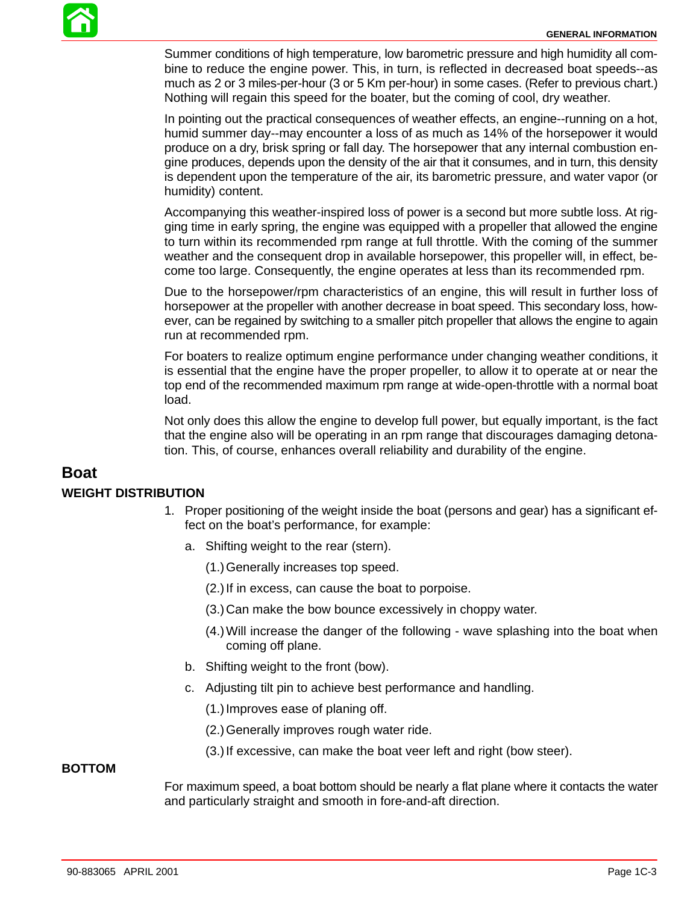

Summer conditions of high temperature, low barometric pressure and high humidity all combine to reduce the engine power. This, in turn, is reflected in decreased boat speeds--as much as 2 or 3 miles-per-hour (3 or 5 Km per-hour) in some cases. (Refer to previous chart.) Nothing will regain this speed for the boater, but the coming of cool, dry weather.

In pointing out the practical consequences of weather effects, an engine--running on a hot, humid summer day--may encounter a loss of as much as 14% of the horsepower it would produce on a dry, brisk spring or fall day. The horsepower that any internal combustion engine produces, depends upon the density of the air that it consumes, and in turn, this density is dependent upon the temperature of the air, its barometric pressure, and water vapor (or humidity) content.

Accompanying this weather-inspired loss of power is a second but more subtle loss. At rigging time in early spring, the engine was equipped with a propeller that allowed the engine to turn within its recommended rpm range at full throttle. With the coming of the summer weather and the consequent drop in available horsepower, this propeller will, in effect, become too large. Consequently, the engine operates at less than its recommended rpm.

Due to the horsepower/rpm characteristics of an engine, this will result in further loss of horsepower at the propeller with another decrease in boat speed. This secondary loss, however, can be regained by switching to a smaller pitch propeller that allows the engine to again run at recommended rpm.

For boaters to realize optimum engine performance under changing weather conditions, it is essential that the engine have the proper propeller, to allow it to operate at or near the top end of the recommended maximum rpm range at wide-open-throttle with a normal boat load.

Not only does this allow the engine to develop full power, but equally important, is the fact that the engine also will be operating in an rpm range that discourages damaging detonation. This, of course, enhances overall reliability and durability of the engine.

#### **Boat**

#### **WEIGHT DISTRIBUTION**

- 1. Proper positioning of the weight inside the boat (persons and gear) has a significant effect on the boat's performance, for example:
	- a. Shifting weight to the rear (stern).
		- (1.)Generally increases top speed.
		- (2.)If in excess, can cause the boat to porpoise.
		- (3.)Can make the bow bounce excessively in choppy water.
		- (4.)Will increase the danger of the following wave splashing into the boat when coming off plane.
	- b. Shifting weight to the front (bow).
	- c. Adjusting tilt pin to achieve best performance and handling.
		- (1.)Improves ease of planing off.
		- (2.)Generally improves rough water ride.
		- (3.)If excessive, can make the boat veer left and right (bow steer).

#### **BOTTOM**

For maximum speed, a boat bottom should be nearly a flat plane where it contacts the water and particularly straight and smooth in fore-and-aft direction.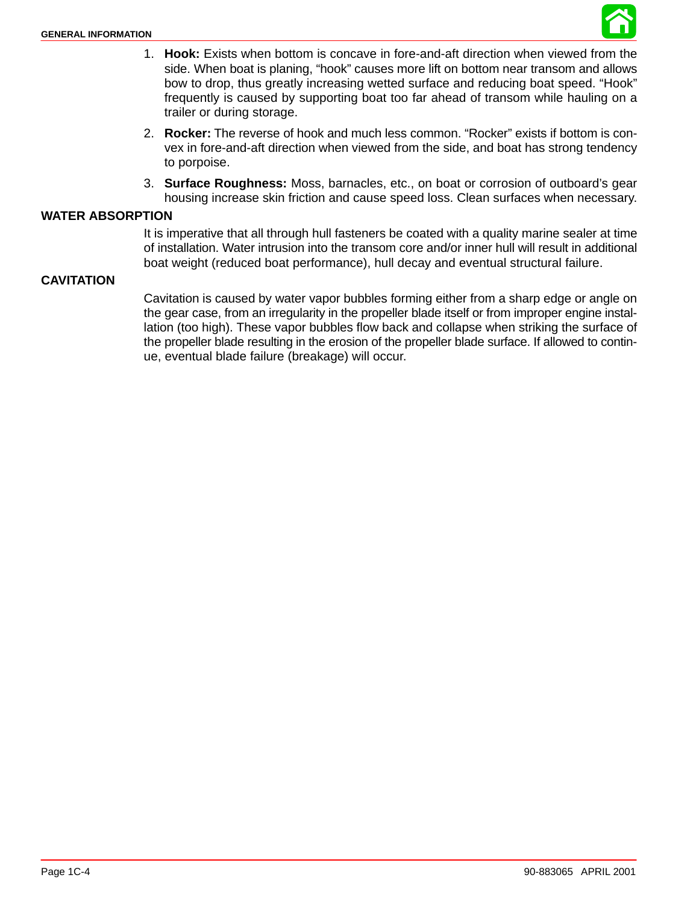

- <span id="page-3-0"></span>1. **Hook:** Exists when bottom is concave in fore-and-aft direction when viewed from the side. When boat is planing, "hook" causes more lift on bottom near transom and allows bow to drop, thus greatly increasing wetted surface and reducing boat speed. "Hook" frequently is caused by supporting boat too far ahead of transom while hauling on a trailer or during storage.
- 2. **Rocker:** The reverse of hook and much less common. "Rocker" exists if bottom is convex in fore-and-aft direction when viewed from the side, and boat has strong tendency to porpoise.
- 3. **Surface Roughness:** Moss, barnacles, etc., on boat or corrosion of outboard's gear housing increase skin friction and cause speed loss. Clean surfaces when necessary.

#### **WATER ABSORPTION**

It is imperative that all through hull fasteners be coated with a quality marine sealer at time of installation. Water intrusion into the transom core and/or inner hull will result in additional boat weight (reduced boat performance), hull decay and eventual structural failure.

#### **CAVITATION**

Cavitation is caused by water vapor bubbles forming either from a sharp edge or angle on the gear case, from an irregularity in the propeller blade itself or from improper engine installation (too high). These vapor bubbles flow back and collapse when striking the surface of the propeller blade resulting in the erosion of the propeller blade surface. If allowed to continue, eventual blade failure (breakage) will occur.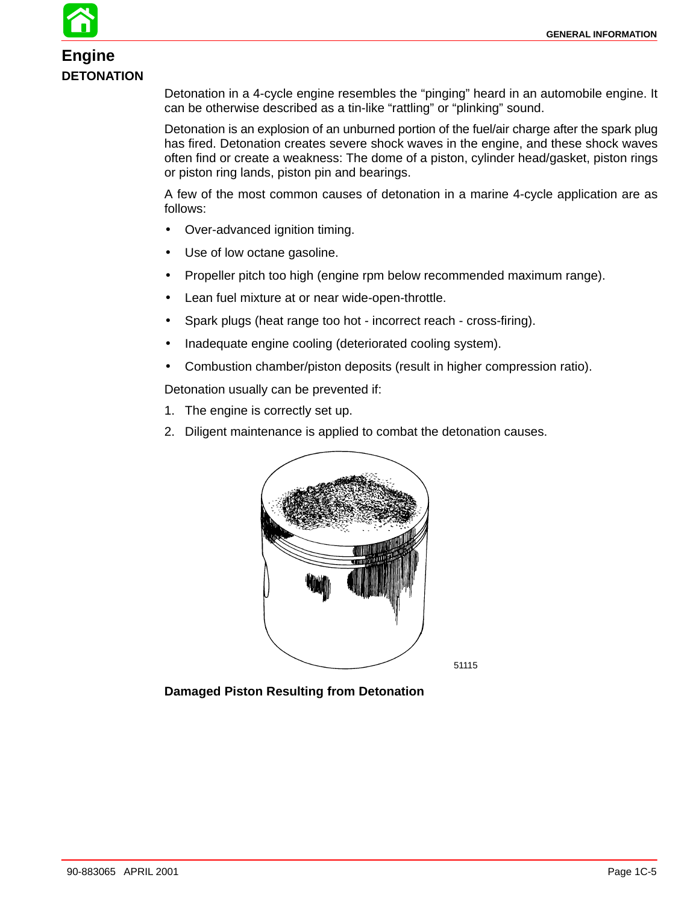# **Engine DETONATION**

Detonation in a 4-cycle engine resembles the "pinging" heard in an automobile engine. It can be otherwise described as a tin-like "rattling" or "plinking" sound.

Detonation is an explosion of an unburned portion of the fuel/air charge after the spark plug has fired. Detonation creates severe shock waves in the engine, and these shock waves often find or create a weakness: The dome of a piston, cylinder head/gasket, piston rings or piston ring lands, piston pin and bearings.

A few of the most common causes of detonation in a marine 4-cycle application are as follows:

- Over-advanced ignition timing.
- Use of low octane gasoline.
- Propeller pitch too high (engine rpm below recommended maximum range).
- Lean fuel mixture at or near wide-open-throttle.
- Spark plugs (heat range too hot incorrect reach cross-firing).
- Inadequate engine cooling (deteriorated cooling system).
- Combustion chamber/piston deposits (result in higher compression ratio).

Detonation usually can be prevented if:

- 1. The engine is correctly set up.
- 2. Diligent maintenance is applied to combat the detonation causes.



51115

**Damaged Piston Resulting from Detonation**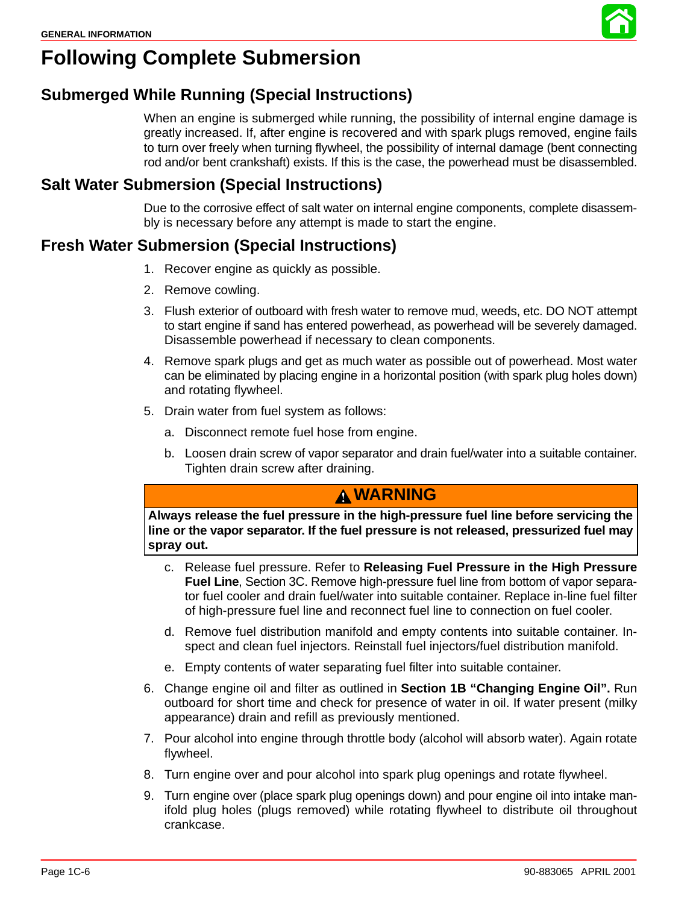# **Following Complete Submersion**

### **Submerged While Running (Special Instructions)**

When an engine is submerged while running, the possibility of internal engine damage is greatly increased. If, after engine is recovered and with spark plugs removed, engine fails to turn over freely when turning flywheel, the possibility of internal damage (bent connecting rod and/or bent crankshaft) exists. If this is the case, the powerhead must be disassembled.

### **Salt Water Submersion (Special Instructions)**

Due to the corrosive effect of salt water on internal engine components, complete disassembly is necessary before any attempt is made to start the engine.

### **Fresh Water Submersion (Special Instructions)**

- 1. Recover engine as quickly as possible.
- 2. Remove cowling.
- 3. Flush exterior of outboard with fresh water to remove mud, weeds, etc. DO NOT attempt to start engine if sand has entered powerhead, as powerhead will be severely damaged. Disassemble powerhead if necessary to clean components.
- 4. Remove spark plugs and get as much water as possible out of powerhead. Most water can be eliminated by placing engine in a horizontal position (with spark plug holes down) and rotating flywheel.
- 5. Drain water from fuel system as follows:
	- a. Disconnect remote fuel hose from engine.
	- b. Loosen drain screw of vapor separator and drain fuel/water into a suitable container. Tighten drain screw after draining.

### **WARNING**

**Always release the fuel pressure in the high-pressure fuel line before servicing the line or the vapor separator. If the fuel pressure is not released, pressurized fuel may spray out.**

- c. Release fuel pressure. Refer to **Releasing Fuel Pressure in the High Pressure Fuel Line**, Section 3C. Remove high-pressure fuel line from bottom of vapor separator fuel cooler and drain fuel/water into suitable container. Replace in-line fuel filter of high-pressure fuel line and reconnect fuel line to connection on fuel cooler.
- d. Remove fuel distribution manifold and empty contents into suitable container. Inspect and clean fuel injectors. Reinstall fuel injectors/fuel distribution manifold.
- e. Empty contents of water separating fuel filter into suitable container.
- 6. Change engine oil and filter as outlined in **Section 1B "Changing Engine Oil".** Run outboard for short time and check for presence of water in oil. If water present (milky appearance) drain and refill as previously mentioned.
- 7. Pour alcohol into engine through throttle body (alcohol will absorb water). Again rotate flywheel.
- 8. Turn engine over and pour alcohol into spark plug openings and rotate flywheel.
- 9. Turn engine over (place spark plug openings down) and pour engine oil into intake manifold plug holes (plugs removed) while rotating flywheel to distribute oil throughout crankcase.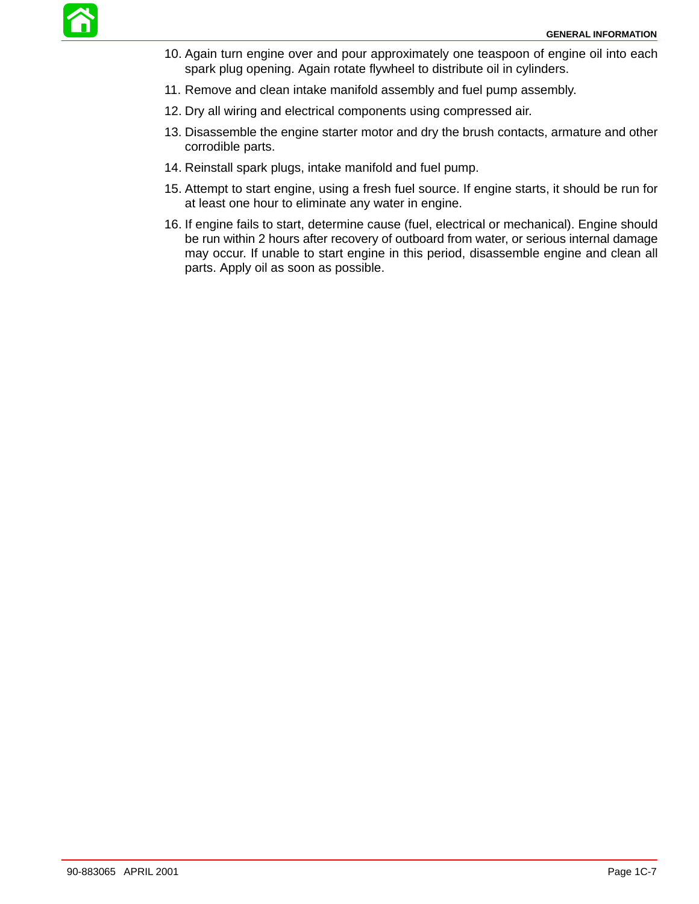- 10. Again turn engine over and pour approximately one teaspoon of engine oil into each spark plug opening. Again rotate flywheel to distribute oil in cylinders.
- 11. Remove and clean intake manifold assembly and fuel pump assembly.
- 12. Dry all wiring and electrical components using compressed air.
- 13. Disassemble the engine starter motor and dry the brush contacts, armature and other corrodible parts.
- 14. Reinstall spark plugs, intake manifold and fuel pump.
- 15. Attempt to start engine, using a fresh fuel source. If engine starts, it should be run for at least one hour to eliminate any water in engine.
- 16. If engine fails to start, determine cause (fuel, electrical or mechanical). Engine should be run within 2 hours after recovery of outboard from water, or serious internal damage may occur. If unable to start engine in this period, disassemble engine and clean all parts. Apply oil as soon as possible.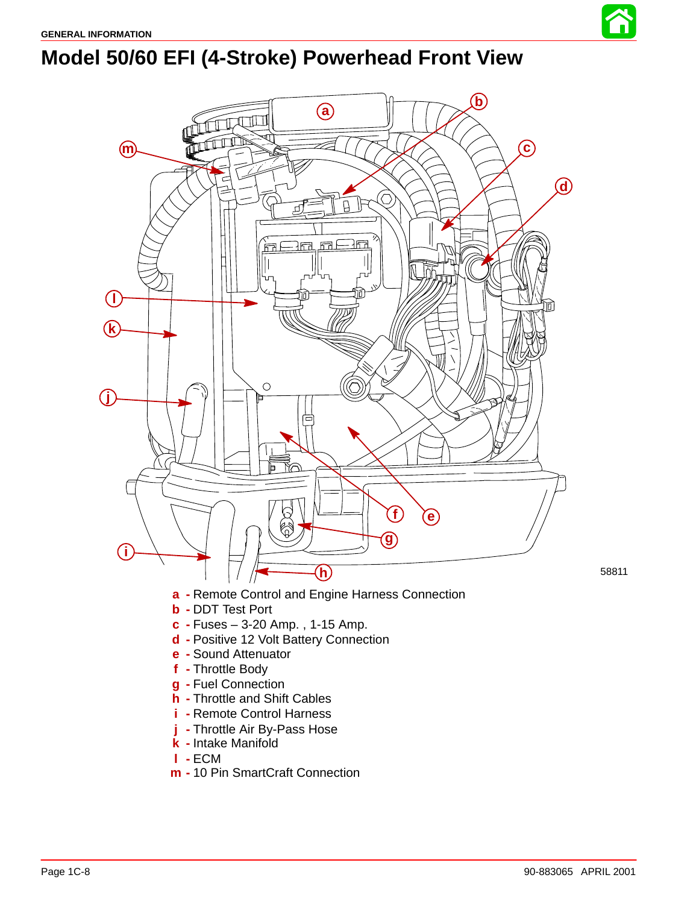

# **Model 50/60 EFI (4-Stroke) Powerhead Front View**



- **d -** Positive 12 Volt Battery Connection
- **e -** Sound Attenuator
- **f -** Throttle Body
- **g -** Fuel Connection
- **h -** Throttle and Shift Cables
- **i -** Remote Control Harness
- **j -** Throttle Air By-Pass Hose
- **k -** Intake Manifold
- **l -** ECM
- **m -** 10 Pin SmartCraft Connection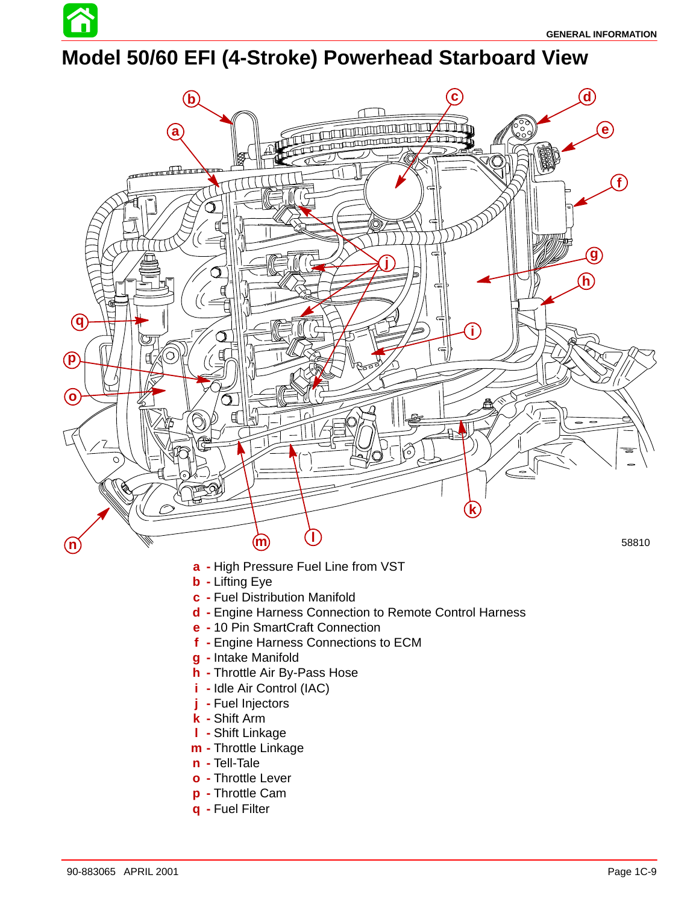

# **Model 50/60 EFI (4-Stroke) Powerhead Starboard View**



- 
- **m -** Throttle Linkage
- **n -** Tell-Tale
- **o -** Throttle Lever
- **p -** Throttle Cam
- **q -** Fuel Filter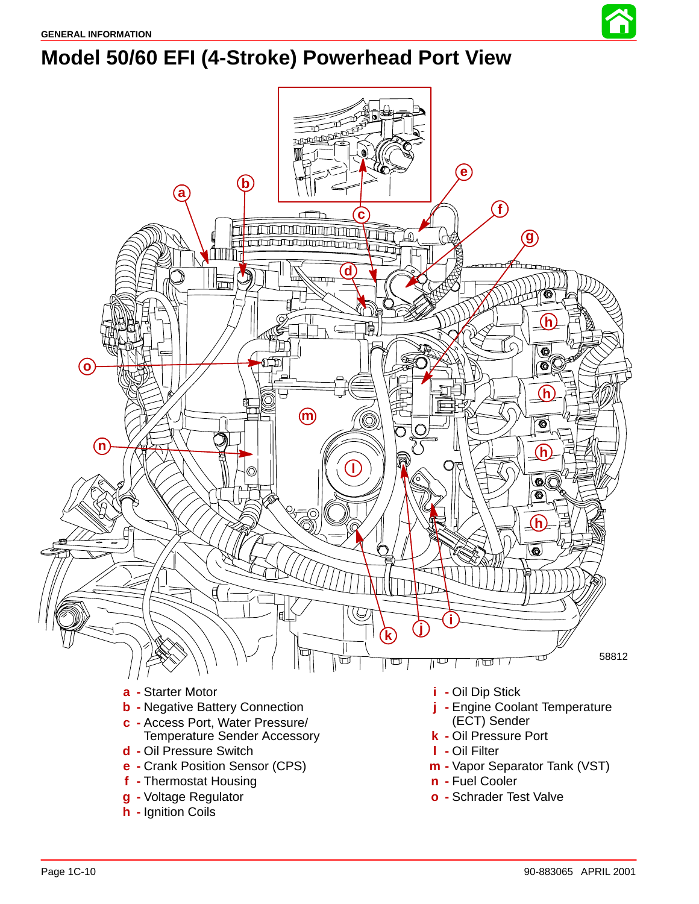

# **Model 50/60 EFI (4-Stroke) Powerhead Port View**

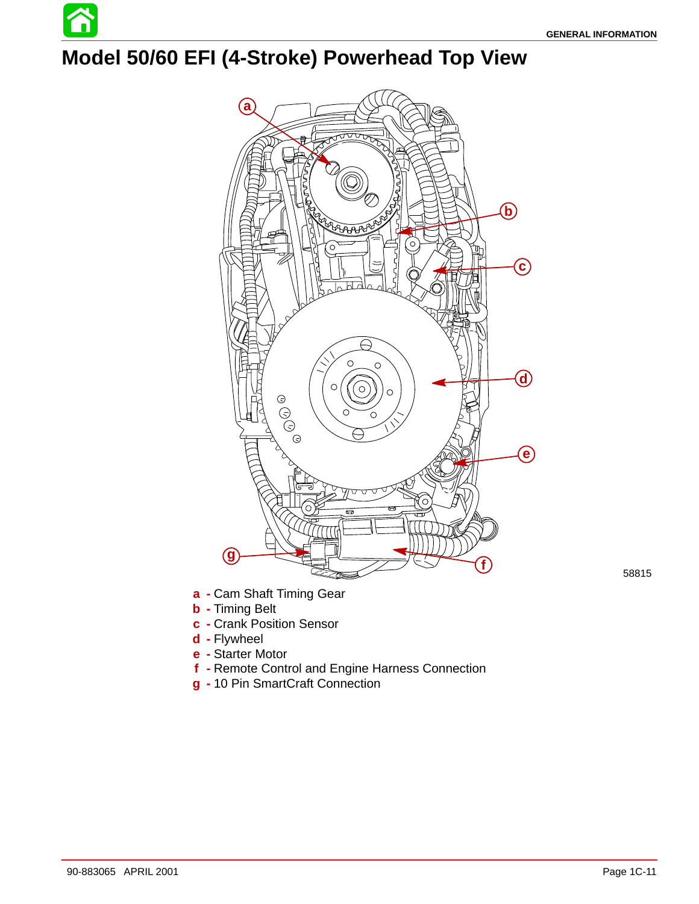

# **Model 50/60 EFI (4-Stroke) Powerhead Top View**



**a -** Cam Shaft Timing Gear

- **b -** Timing Belt
- **c -** Crank Position Sensor
- **d -** Flywheel
- **e -** Starter Motor
- **f -** Remote Control and Engine Harness Connection
- **g -** 10 Pin SmartCraft Connection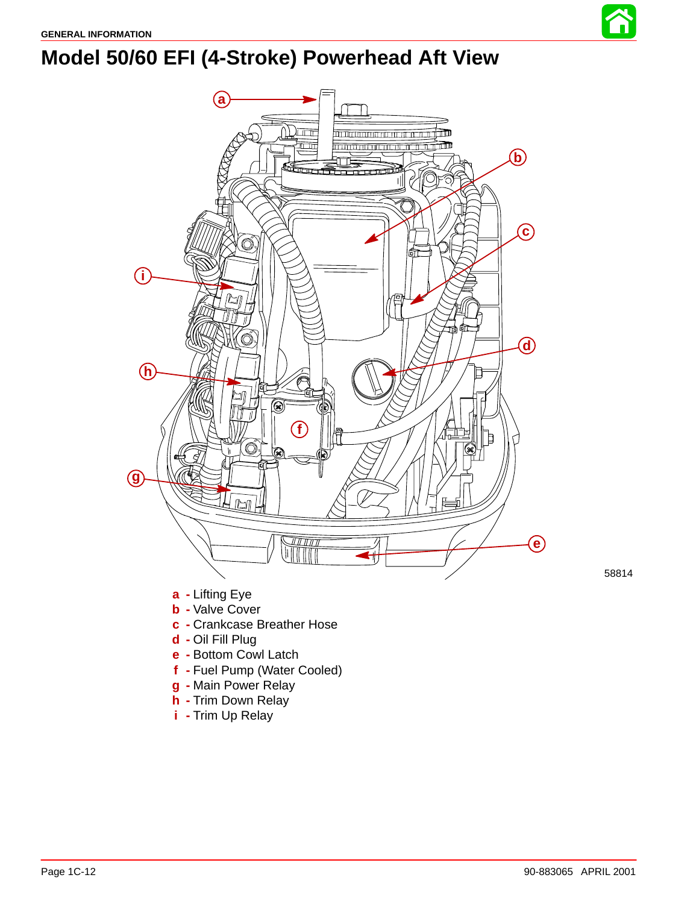

# **Model 50/60 EFI (4-Stroke) Powerhead Aft View**



- **e -** Bottom Cowl Latch
- **f -** Fuel Pump (Water Cooled)
- **g -** Main Power Relay
- **h -** Trim Down Relay
- **i -** Trim Up Relay

58814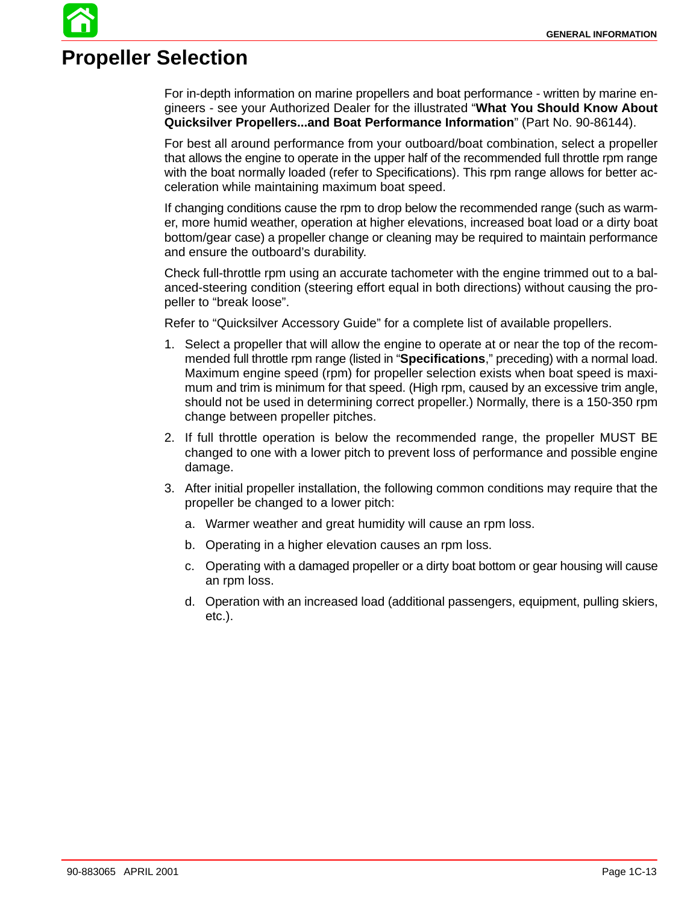# **Propeller Selection**

For in-depth information on marine propellers and boat performance - written by marine engineers - see your Authorized Dealer for the illustrated "**What You Should Know About Quicksilver Propellers...and Boat Performance Information**" (Part No. 90-86144).

For best all around performance from your outboard/boat combination, select a propeller that allows the engine to operate in the upper half of the recommended full throttle rpm range with the boat normally loaded (refer to Specifications). This rpm range allows for better acceleration while maintaining maximum boat speed.

If changing conditions cause the rpm to drop below the recommended range (such as warmer, more humid weather, operation at higher elevations, increased boat load or a dirty boat bottom/gear case) a propeller change or cleaning may be required to maintain performance and ensure the outboard's durability.

Check full-throttle rpm using an accurate tachometer with the engine trimmed out to a balanced-steering condition (steering effort equal in both directions) without causing the propeller to "break loose".

Refer to "Quicksilver Accessory Guide" for a complete list of available propellers.

- 1. Select a propeller that will allow the engine to operate at or near the top of the recommended full throttle rpm range (listed in "**Specifications**," preceding) with a normal load. Maximum engine speed (rpm) for propeller selection exists when boat speed is maximum and trim is minimum for that speed. (High rpm, caused by an excessive trim angle, should not be used in determining correct propeller.) Normally, there is a 150-350 rpm change between propeller pitches.
- 2. If full throttle operation is below the recommended range, the propeller MUST BE changed to one with a lower pitch to prevent loss of performance and possible engine damage.
- 3. After initial propeller installation, the following common conditions may require that the propeller be changed to a lower pitch:
	- a. Warmer weather and great humidity will cause an rpm loss.
	- b. Operating in a higher elevation causes an rpm loss.
	- c. Operating with a damaged propeller or a dirty boat bottom or gear housing will cause an rpm loss.
	- d. Operation with an increased load (additional passengers, equipment, pulling skiers, etc.).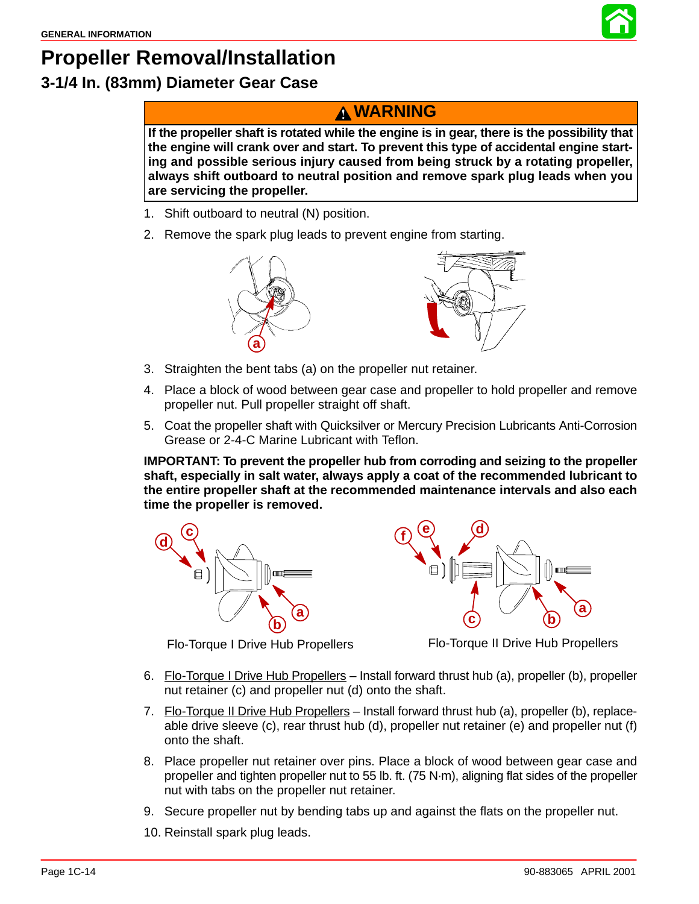

# **Propeller Removal/Installation 3-1/4 In. (83mm) Diameter Gear Case**

### **WARNING**

**If the propeller shaft is rotated while the engine is in gear, there is the possibility that the engine will crank over and start. To prevent this type of accidental engine starting and possible serious injury caused from being struck by a rotating propeller, always shift outboard to neutral position and remove spark plug leads when you are servicing the propeller.**

- 1. Shift outboard to neutral (N) position.
- 2. Remove the spark plug leads to prevent engine from starting.



- 3. Straighten the bent tabs (a) on the propeller nut retainer.
- 4. Place a block of wood between gear case and propeller to hold propeller and remove propeller nut. Pull propeller straight off shaft.
- 5. Coat the propeller shaft with Quicksilver or Mercury Precision Lubricants Anti-Corrosion Grease or 2-4-C Marine Lubricant with Teflon.

**IMPORTANT: To prevent the propeller hub from corroding and seizing to the propeller shaft, especially in salt water, always apply a coat of the recommended lubricant to the entire propeller shaft at the recommended maintenance intervals and also each time the propeller is removed.**





Flo-Torque I Drive Hub Propellers Flo-Torque II Drive Hub Propellers

- 6. Flo-Torque I Drive Hub Propellers Install forward thrust hub (a), propeller (b), propeller nut retainer (c) and propeller nut (d) onto the shaft.
- 7. Flo-Torque II Drive Hub Propellers Install forward thrust hub (a), propeller (b), replaceable drive sleeve (c), rear thrust hub (d), propeller nut retainer (e) and propeller nut (f) onto the shaft.
- 8. Place propeller nut retainer over pins. Place a block of wood between gear case and propeller and tighten propeller nut to 55 lb. ft. (75 N·m), aligning flat sides of the propeller nut with tabs on the propeller nut retainer.
- 9. Secure propeller nut by bending tabs up and against the flats on the propeller nut.
- 10. Reinstall spark plug leads.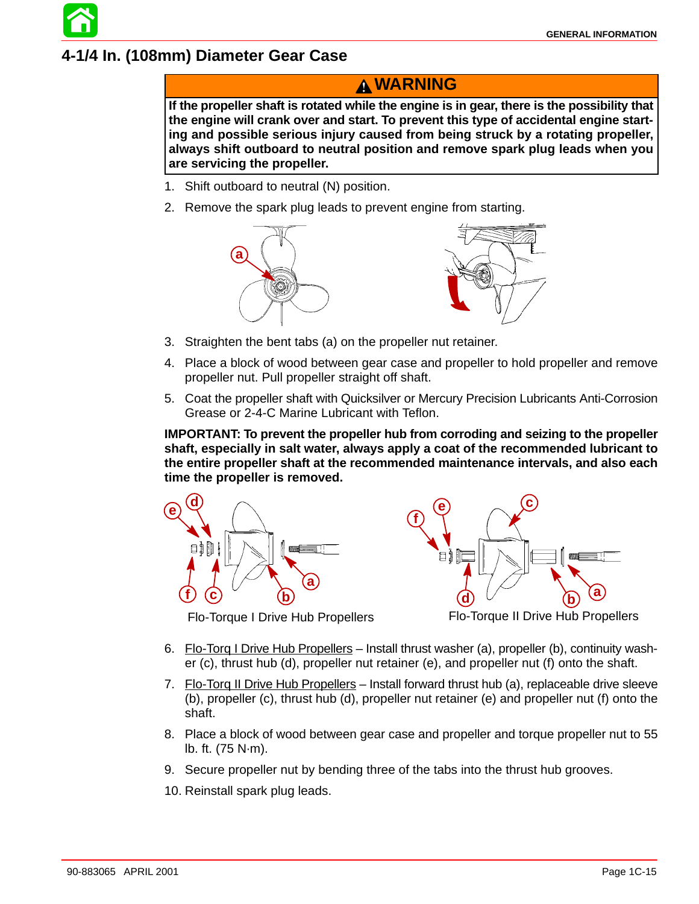### **4-1/4 In. (108mm) Diameter Gear Case**

### **WARNING**

**If the propeller shaft is rotated while the engine is in gear, there is the possibility that the engine will crank over and start. To prevent this type of accidental engine starting and possible serious injury caused from being struck by a rotating propeller, always shift outboard to neutral position and remove spark plug leads when you are servicing the propeller.**

- 1. Shift outboard to neutral (N) position.
- 2. Remove the spark plug leads to prevent engine from starting.



- 3. Straighten the bent tabs (a) on the propeller nut retainer.
- 4. Place a block of wood between gear case and propeller to hold propeller and remove propeller nut. Pull propeller straight off shaft.
- 5. Coat the propeller shaft with Quicksilver or Mercury Precision Lubricants Anti-Corrosion Grease or 2-4-C Marine Lubricant with Teflon.

**IMPORTANT: To prevent the propeller hub from corroding and seizing to the propeller shaft, especially in salt water, always apply a coat of the recommended lubricant to the entire propeller shaft at the recommended maintenance intervals, and also each time the propeller is removed.**





Flo-Torque I Drive Hub Propellers Flo-Torque II Drive Hub Propellers

- 6. Flo-Torq I Drive Hub Propellers Install thrust washer (a), propeller (b), continuity washer (c), thrust hub (d), propeller nut retainer (e), and propeller nut (f) onto the shaft.
- 7. Flo-Torg II Drive Hub Propellers Install forward thrust hub (a), replaceable drive sleeve (b), propeller (c), thrust hub (d), propeller nut retainer (e) and propeller nut (f) onto the shaft.
- 8. Place a block of wood between gear case and propeller and torque propeller nut to 55 lb. ft. (75 N·m).
- 9. Secure propeller nut by bending three of the tabs into the thrust hub grooves.
- 10. Reinstall spark plug leads.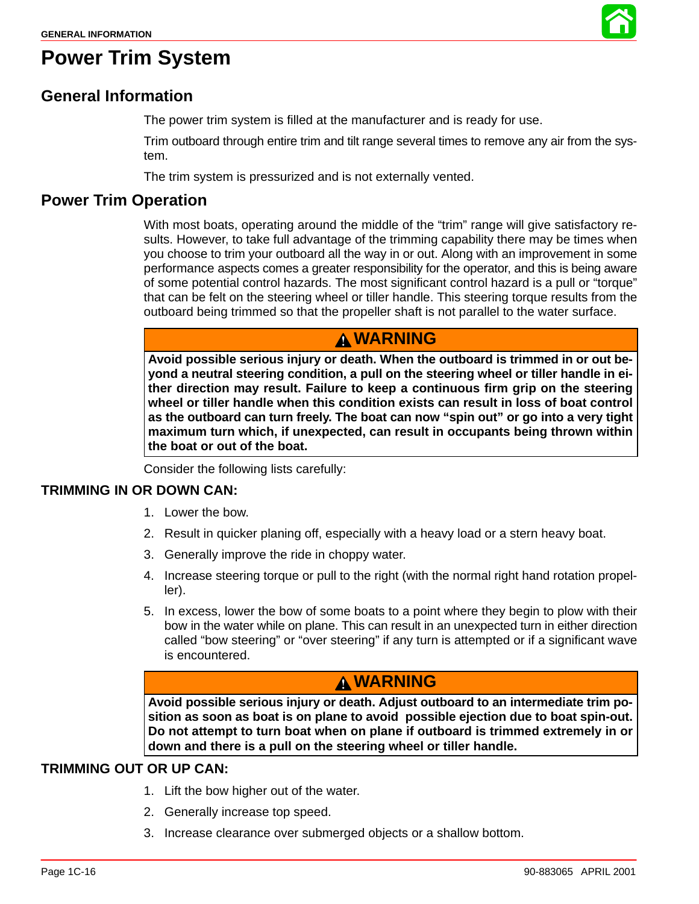

## **Power Trim System**

### **General Information**

The power trim system is filled at the manufacturer and is ready for use.

Trim outboard through entire trim and tilt range several times to remove any air from the system.

The trim system is pressurized and is not externally vented.

#### **Power Trim Operation**

With most boats, operating around the middle of the "trim" range will give satisfactory results. However, to take full advantage of the trimming capability there may be times when you choose to trim your outboard all the way in or out. Along with an improvement in some performance aspects comes a greater responsibility for the operator, and this is being aware of some potential control hazards. The most significant control hazard is a pull or "torque" that can be felt on the steering wheel or tiller handle. This steering torque results from the outboard being trimmed so that the propeller shaft is not parallel to the water surface.

### **WARNING**

**Avoid possible serious injury or death. When the outboard is trimmed in or out beyond a neutral steering condition, a pull on the steering wheel or tiller handle in either direction may result. Failure to keep a continuous firm grip on the steering wheel or tiller handle when this condition exists can result in loss of boat control as the outboard can turn freely. The boat can now "spin out" or go into a very tight maximum turn which, if unexpected, can result in occupants being thrown within the boat or out of the boat.**

Consider the following lists carefully:

#### **TRIMMING IN OR DOWN CAN:**

- 1. Lower the bow.
- 2. Result in quicker planing off, especially with a heavy load or a stern heavy boat.
- 3. Generally improve the ride in choppy water.
- 4. Increase steering torque or pull to the right (with the normal right hand rotation propeller).
- 5. In excess, lower the bow of some boats to a point where they begin to plow with their bow in the water while on plane. This can result in an unexpected turn in either direction called "bow steering" or "over steering" if any turn is attempted or if a significant wave is encountered.

### **WARNING**

**Avoid possible serious injury or death. Adjust outboard to an intermediate trim position as soon as boat is on plane to avoid possible ejection due to boat spin-out. Do not attempt to turn boat when on plane if outboard is trimmed extremely in or down and there is a pull on the steering wheel or tiller handle.**

#### **TRIMMING OUT OR UP CAN:**

- 1. Lift the bow higher out of the water.
- 2. Generally increase top speed.
- 3. Increase clearance over submerged objects or a shallow bottom.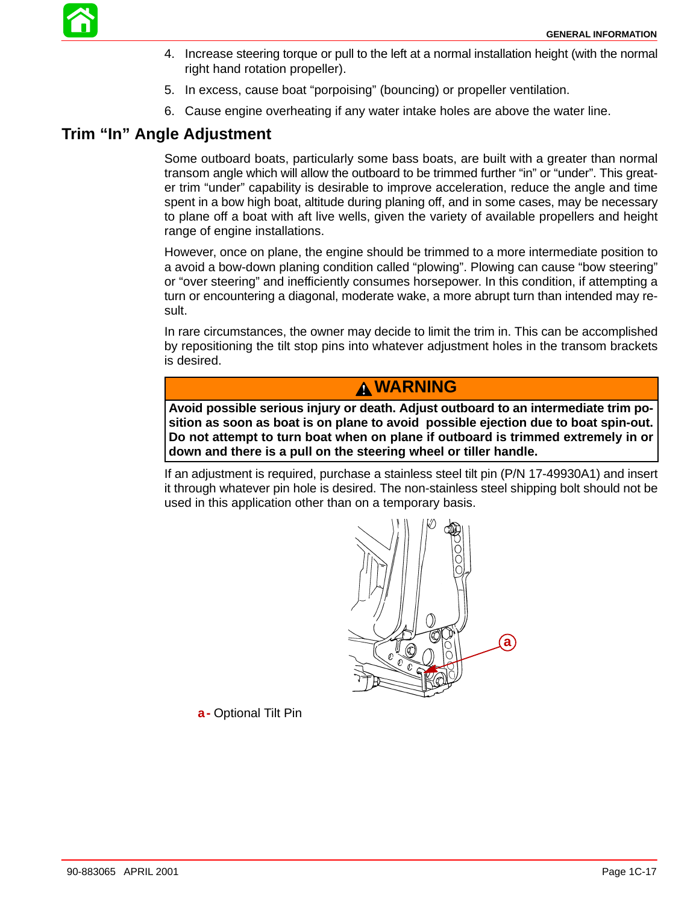

- 4. Increase steering torque or pull to the left at a normal installation height (with the normal right hand rotation propeller).
- 5. In excess, cause boat "porpoising" (bouncing) or propeller ventilation.
- 6. Cause engine overheating if any water intake holes are above the water line.

### **Trim "In" Angle Adjustment**

Some outboard boats, particularly some bass boats, are built with a greater than normal transom angle which will allow the outboard to be trimmed further "in" or "under". This greater trim "under" capability is desirable to improve acceleration, reduce the angle and time spent in a bow high boat, altitude during planing off, and in some cases, may be necessary to plane off a boat with aft live wells, given the variety of available propellers and height range of engine installations.

However, once on plane, the engine should be trimmed to a more intermediate position to a avoid a bow-down planing condition called "plowing". Plowing can cause "bow steering" or "over steering" and inefficiently consumes horsepower. In this condition, if attempting a turn or encountering a diagonal, moderate wake, a more abrupt turn than intended may result.

In rare circumstances, the owner may decide to limit the trim in. This can be accomplished by repositioning the tilt stop pins into whatever adjustment holes in the transom brackets is desired.

#### **WARNING**

**Avoid possible serious injury or death. Adjust outboard to an intermediate trim position as soon as boat is on plane to avoid possible ejection due to boat spin-out. Do not attempt to turn boat when on plane if outboard is trimmed extremely in or down and there is a pull on the steering wheel or tiller handle.**

If an adjustment is required, purchase a stainless steel tilt pin (P/N 17-49930A1) and insert it through whatever pin hole is desired. The non-stainless steel shipping bolt should not be used in this application other than on a temporary basis.



**a-** Optional Tilt Pin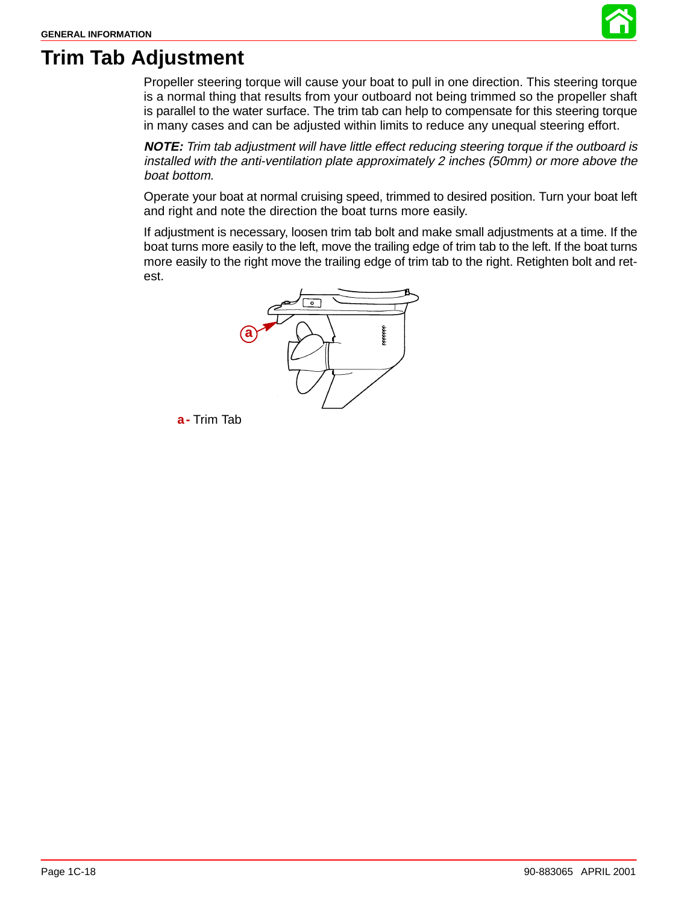

# **Trim Tab Adjustment**

Propeller steering torque will cause your boat to pull in one direction. This steering torque is a normal thing that results from your outboard not being trimmed so the propeller shaft is parallel to the water surface. The trim tab can help to compensate for this steering torque in many cases and can be adjusted within limits to reduce any unequal steering effort.

**NOTE:** Trim tab adjustment will have little effect reducing steering torque if the outboard is installed with the anti-ventilation plate approximately 2 inches (50mm) or more above the boat bottom.

Operate your boat at normal cruising speed, trimmed to desired position. Turn your boat left and right and note the direction the boat turns more easily.

If adjustment is necessary, loosen trim tab bolt and make small adjustments at a time. If the boat turns more easily to the left, move the trailing edge of trim tab to the left. If the boat turns more easily to the right move the trailing edge of trim tab to the right. Retighten bolt and retest.



**a-** Trim Tab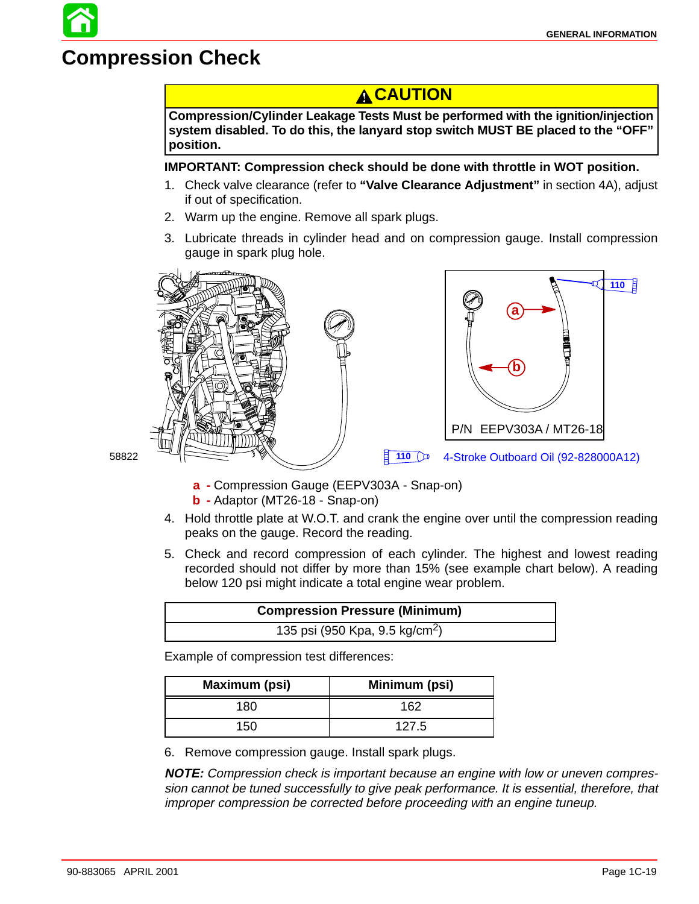# **Compression Check**

### **A CAUTION**

**Compression/Cylinder Leakage Tests Must be performed with the ignition/injection system disabled. To do this, the lanyard stop switch MUST BE placed to the "OFF" position.**

#### **IMPORTANT: Compression check should be done with throttle in WOT position.**

- 1. Check valve clearance (refer to **"Valve Clearance Adjustment"** in section 4A), adjust if out of specification.
- 2. Warm up the engine. Remove all spark plugs.
- 3. Lubricate threads in cylinder head and on compression gauge. Install compression gauge in spark plug hole.







- 58822
- **a -** Compression Gauge (EEPV303A Snap-on)
- **b -** Adaptor (MT26-18 Snap-on)
- 4. Hold throttle plate at W.O.T. and crank the engine over until the compression reading peaks on the gauge. Record the reading.
- 5. Check and record compression of each cylinder. The highest and lowest reading recorded should not differ by more than 15% (see example chart below). A reading below 120 psi might indicate a total engine wear problem.

|                                            | <b>Compression Pressure (Minimum)</b> |
|--------------------------------------------|---------------------------------------|
| 135 psi (950 Kpa, 9.5 kg/cm <sup>2</sup> ) |                                       |

Example of compression test differences:

| Maximum (psi) | Minimum (psi) |
|---------------|---------------|
| 180           | 162           |
| 150           | 127.5         |

6. Remove compression gauge. Install spark plugs.

**NOTE:** Compression check is important because an engine with low or uneven compression cannot be tuned successfully to give peak performance. It is essential, therefore, that improper compression be corrected before proceeding with an engine tuneup.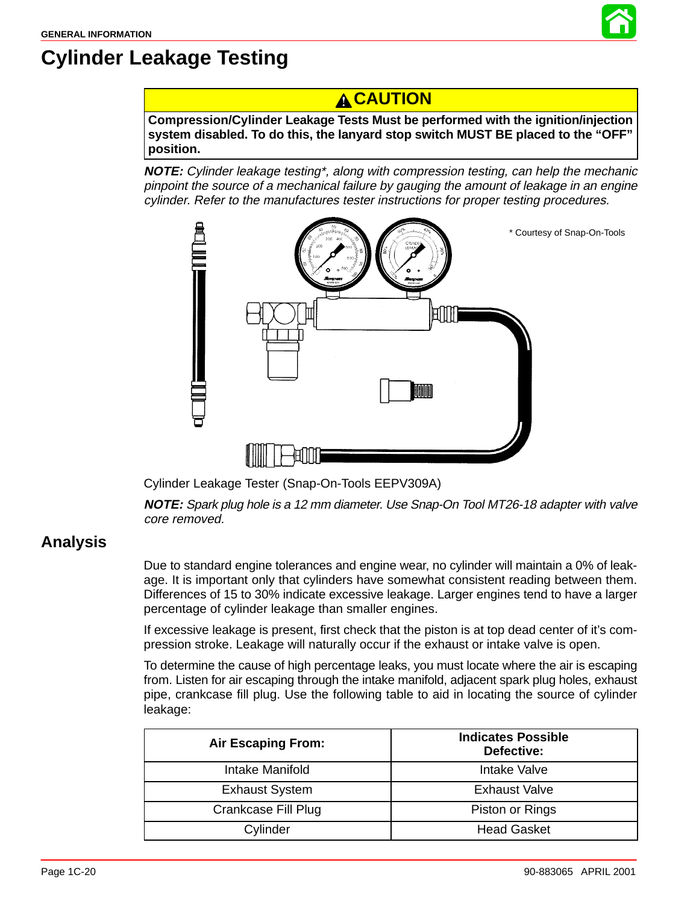

# **Cylinder Leakage Testing**

### **A CAUTION**

**Compression/Cylinder Leakage Tests Must be performed with the ignition/injection system disabled. To do this, the lanyard stop switch MUST BE placed to the "OFF" position.**

**NOTE:** Cylinder leakage testing\*, along with compression testing, can help the mechanic pinpoint the source of a mechanical failure by gauging the amount of leakage in an engine cylinder. Refer to the manufactures tester instructions for proper testing procedures.



Cylinder Leakage Tester (Snap-On-Tools EEPV309A)

**NOTE:** Spark plug hole is a 12 mm diameter. Use Snap-On Tool MT26-18 adapter with valve core removed.

### **Analysis**

Due to standard engine tolerances and engine wear, no cylinder will maintain a 0% of leakage. It is important only that cylinders have somewhat consistent reading between them. Differences of 15 to 30% indicate excessive leakage. Larger engines tend to have a larger percentage of cylinder leakage than smaller engines.

If excessive leakage is present, first check that the piston is at top dead center of it's compression stroke. Leakage will naturally occur if the exhaust or intake valve is open.

To determine the cause of high percentage leaks, you must locate where the air is escaping from. Listen for air escaping through the intake manifold, adjacent spark plug holes, exhaust pipe, crankcase fill plug. Use the following table to aid in locating the source of cylinder leakage:

| <b>Air Escaping From:</b> | <b>Indicates Possible</b><br>Defective: |
|---------------------------|-----------------------------------------|
| Intake Manifold           | Intake Valve                            |
| <b>Exhaust System</b>     | <b>Exhaust Valve</b>                    |
| Crankcase Fill Plug       | Piston or Rings                         |
| Cylinder                  | <b>Head Gasket</b>                      |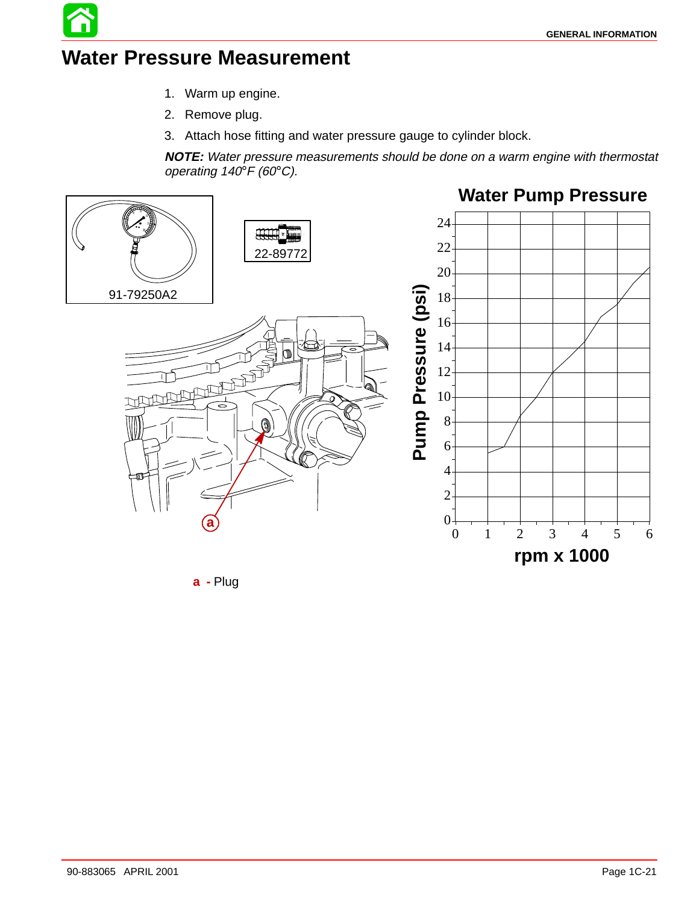# **Water Pressure Measurement**

- 1. Warm up engine.
- 2. Remove plug.
- 3. Attach hose fitting and water pressure gauge to cylinder block.

**NOTE:** Water pressure measurements should be done on a warm engine with thermostat operating 140°F (60°C).



**a -** Plug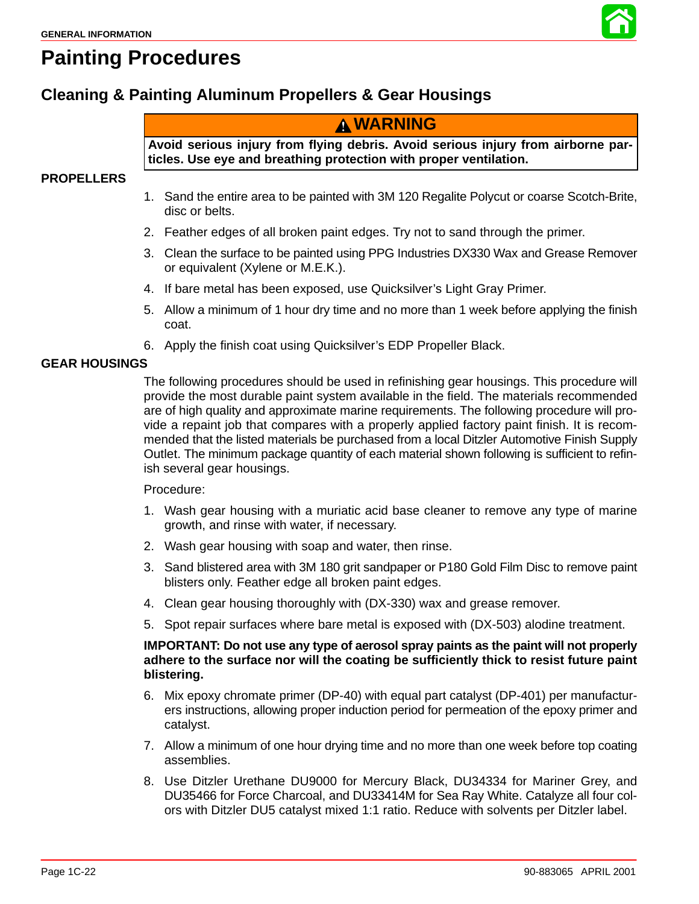

# **Painting Procedures**

### **Cleaning & Painting Aluminum Propellers & Gear Housings**

### **WARNING**

**Avoid serious injury from flying debris. Avoid serious injury from airborne particles. Use eye and breathing protection with proper ventilation.**

#### **PROPELLERS**

- 1. Sand the entire area to be painted with 3M 120 Regalite Polycut or coarse Scotch-Brite, disc or belts.
- 2. Feather edges of all broken paint edges. Try not to sand through the primer.
- 3. Clean the surface to be painted using PPG Industries DX330 Wax and Grease Remover or equivalent (Xylene or M.E.K.).
- 4. If bare metal has been exposed, use Quicksilver's Light Gray Primer.
- 5. Allow a minimum of 1 hour dry time and no more than 1 week before applying the finish coat.
- 6. Apply the finish coat using Quicksilver's EDP Propeller Black.

#### **GEAR HOUSINGS**

The following procedures should be used in refinishing gear housings. This procedure will provide the most durable paint system available in the field. The materials recommended are of high quality and approximate marine requirements. The following procedure will provide a repaint job that compares with a properly applied factory paint finish. It is recommended that the listed materials be purchased from a local Ditzler Automotive Finish Supply Outlet. The minimum package quantity of each material shown following is sufficient to refinish several gear housings.

#### Procedure:

- 1. Wash gear housing with a muriatic acid base cleaner to remove any type of marine growth, and rinse with water, if necessary.
- 2. Wash gear housing with soap and water, then rinse.
- 3. Sand blistered area with 3M 180 grit sandpaper or P180 Gold Film Disc to remove paint blisters only. Feather edge all broken paint edges.
- 4. Clean gear housing thoroughly with (DX-330) wax and grease remover.
- 5. Spot repair surfaces where bare metal is exposed with (DX-503) alodine treatment.

#### **IMPORTANT: Do not use any type of aerosol spray paints as the paint will not properly adhere to the surface nor will the coating be sufficiently thick to resist future paint blistering.**

- 6. Mix epoxy chromate primer (DP-40) with equal part catalyst (DP-401) per manufacturers instructions, allowing proper induction period for permeation of the epoxy primer and catalyst.
- 7. Allow a minimum of one hour drying time and no more than one week before top coating assemblies.
- 8. Use Ditzler Urethane DU9000 for Mercury Black, DU34334 for Mariner Grey, and DU35466 for Force Charcoal, and DU33414M for Sea Ray White. Catalyze all four colors with Ditzler DU5 catalyst mixed 1:1 ratio. Reduce with solvents per Ditzler label.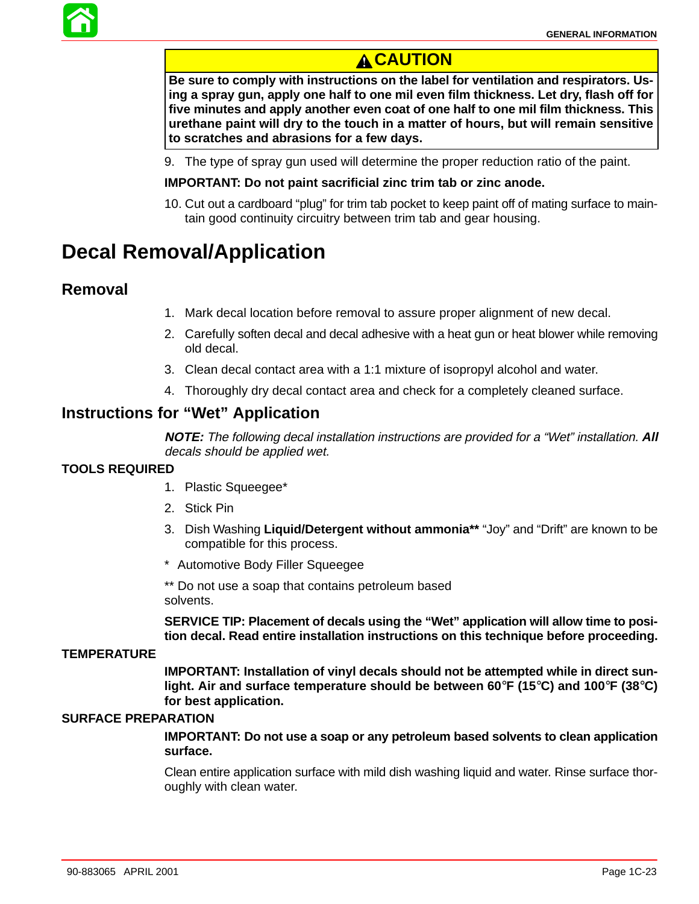

### **A CAUTION**

**Be sure to comply with instructions on the label for ventilation and respirators. Using a spray gun, apply one half to one mil even film thickness. Let dry, flash off for five minutes and apply another even coat of one half to one mil film thickness. This urethane paint will dry to the touch in a matter of hours, but will remain sensitive to scratches and abrasions for a few days.**

9. The type of spray gun used will determine the proper reduction ratio of the paint.

#### **IMPORTANT: Do not paint sacrificial zinc trim tab or zinc anode.**

10. Cut out a cardboard "plug" for trim tab pocket to keep paint off of mating surface to maintain good continuity circuitry between trim tab and gear housing.

# **Decal Removal/Application**

#### **Removal**

- 1. Mark decal location before removal to assure proper alignment of new decal.
- 2. Carefully soften decal and decal adhesive with a heat gun or heat blower while removing old decal.
- 3. Clean decal contact area with a 1:1 mixture of isopropyl alcohol and water.
- 4. Thoroughly dry decal contact area and check for a completely cleaned surface.

### **Instructions for "Wet" Application**

**NOTE:** The following decal installation instructions are provided for a "Wet" installation. **All** decals should be applied wet.

#### **TOOLS REQUIRED**

- 1. Plastic Squeegee\*
- 2. Stick Pin
- 3. Dish Washing **Liquid/Detergent without ammonia\*\*** "Joy" and "Drift" are known to be compatible for this process.
- \*\* Automotive Body Filler Squeegee

\*\* Do not use a soap that contains petroleum based solvents.

**SERVICE TIP: Placement of decals using the "Wet" application will allow time to position decal. Read entire installation instructions on this technique before proceeding.**

#### **TEMPERATURE**

**IMPORTANT: Installation of vinyl decals should not be attempted while in direct sunlight. Air and surface temperature should be between 60**°**F (15**°**C) and 100**°**F (38**°**C) for best application.**

#### **SURFACE PREPARATION**

**IMPORTANT: Do not use a soap or any petroleum based solvents to clean application surface.**

Clean entire application surface with mild dish washing liquid and water. Rinse surface thoroughly with clean water.